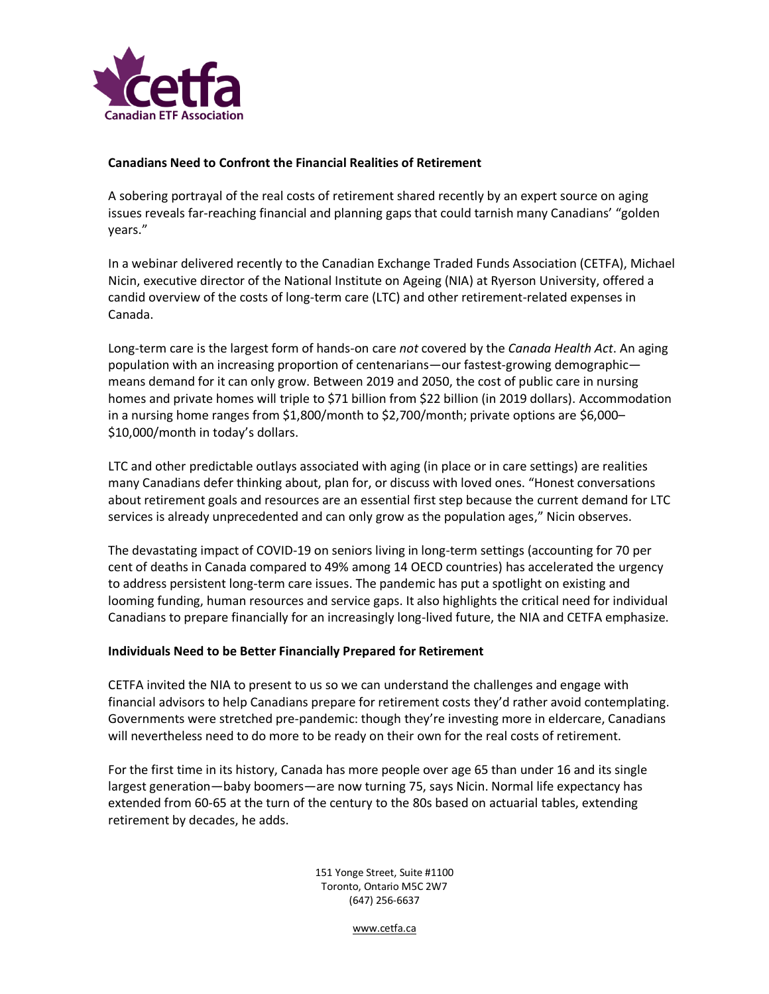

## **Canadians Need to Confront the Financial Realities of Retirement**

A sobering portrayal of the real costs of retirement shared recently by an expert source on aging issues reveals far-reaching financial and planning gaps that could tarnish many Canadians' "golden years."

In a webinar delivered recently to the Canadian Exchange Traded Funds Association (CETFA), Michael Nicin, executive director of the National Institute on Ageing (NIA) at Ryerson University, offered a candid overview of the costs of long-term care (LTC) and other retirement-related expenses in Canada.

Long-term care is the largest form of hands-on care *not* covered by the *Canada Health Act*. An aging population with an increasing proportion of centenarians—our fastest-growing demographic means demand for it can only grow. Between 2019 and 2050, the cost of public care in nursing homes and private homes will triple to \$71 billion from \$22 billion (in 2019 dollars). Accommodation in a nursing home ranges from \$1,800/month to \$2,700/month; private options are \$6,000– \$10,000/month in today's dollars.

LTC and other predictable outlays associated with aging (in place or in care settings) are realities many Canadians defer thinking about, plan for, or discuss with loved ones. "Honest conversations about retirement goals and resources are an essential first step because the current demand for LTC services is already unprecedented and can only grow as the population ages," Nicin observes.

The devastating impact of COVID-19 on seniors living in long-term settings (accounting for 70 per cent of deaths in Canada compared to 49% among 14 OECD countries) has accelerated the urgency to address persistent long-term care issues. The pandemic has put a spotlight on existing and looming funding, human resources and service gaps. It also highlights the critical need for individual Canadians to prepare financially for an increasingly long-lived future, the NIA and CETFA emphasize.

## **Individuals Need to be Better Financially Prepared for Retirement**

CETFA invited the NIA to present to us so we can understand the challenges and engage with financial advisors to help Canadians prepare for retirement costs they'd rather avoid contemplating. Governments were stretched pre-pandemic: though they're investing more in eldercare, Canadians will nevertheless need to do more to be ready on their own for the real costs of retirement.

For the first time in its history, Canada has more people over age 65 than under 16 and its single largest generation—baby boomers—are now turning 75, says Nicin. Normal life expectancy has extended from 60-65 at the turn of the century to the 80s based on actuarial tables, extending retirement by decades, he adds.

> 151 Yonge Street, Suite #1100 Toronto, Ontario M5C 2W7 (647) 256-6637

> > [www.cetfa.ca](http://www.cetfa.ca/)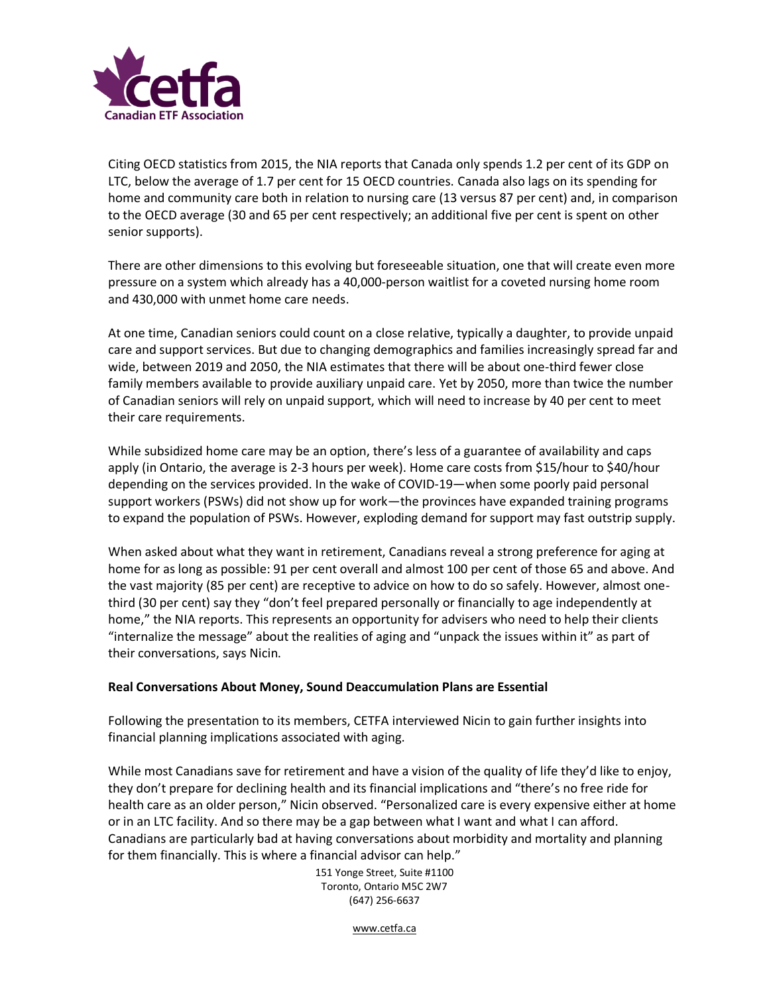

Citing OECD statistics from 2015, the NIA reports that Canada only spends 1.2 per cent of its GDP on LTC, below the average of 1.7 per cent for 15 OECD countries. Canada also lags on its spending for home and community care both in relation to nursing care (13 versus 87 per cent) and, in comparison to the OECD average (30 and 65 per cent respectively; an additional five per cent is spent on other senior supports).

There are other dimensions to this evolving but foreseeable situation, one that will create even more pressure on a system which already has a 40,000-person waitlist for a coveted nursing home room and 430,000 with unmet home care needs.

At one time, Canadian seniors could count on a close relative, typically a daughter, to provide unpaid care and support services. But due to changing demographics and families increasingly spread far and wide, between 2019 and 2050, the NIA estimates that there will be about one-third fewer close family members available to provide auxiliary unpaid care. Yet by 2050, more than twice the number of Canadian seniors will rely on unpaid support, which will need to increase by 40 per cent to meet their care requirements.

While subsidized home care may be an option, there's less of a guarantee of availability and caps apply (in Ontario, the average is 2-3 hours per week). Home care costs from \$15/hour to \$40/hour depending on the services provided. In the wake of COVID-19—when some poorly paid personal support workers (PSWs) did not show up for work—the provinces have expanded training programs to expand the population of PSWs. However, exploding demand for support may fast outstrip supply.

When asked about what they want in retirement, Canadians reveal a strong preference for aging at home for as long as possible: 91 per cent overall and almost 100 per cent of those 65 and above. And the vast majority (85 per cent) are receptive to advice on how to do so safely. However, almost onethird (30 per cent) say they "don't feel prepared personally or financially to age independently at home," the NIA reports. This represents an opportunity for advisers who need to help their clients "internalize the message" about the realities of aging and "unpack the issues within it" as part of their conversations, says Nicin.

## **Real Conversations About Money, Sound Deaccumulation Plans are Essential**

Following the presentation to its members, CETFA interviewed Nicin to gain further insights into financial planning implications associated with aging.

While most Canadians save for retirement and have a vision of the quality of life they'd like to enjoy, they don't prepare for declining health and its financial implications and "there's no free ride for health care as an older person," Nicin observed. "Personalized care is every expensive either at home or in an LTC facility. And so there may be a gap between what I want and what I can afford. Canadians are particularly bad at having conversations about morbidity and mortality and planning for them financially. This is where a financial advisor can help."

> 151 Yonge Street, Suite #1100 Toronto, Ontario M5C 2W7 (647) 256-6637

> > [www.cetfa.ca](http://www.cetfa.ca/)